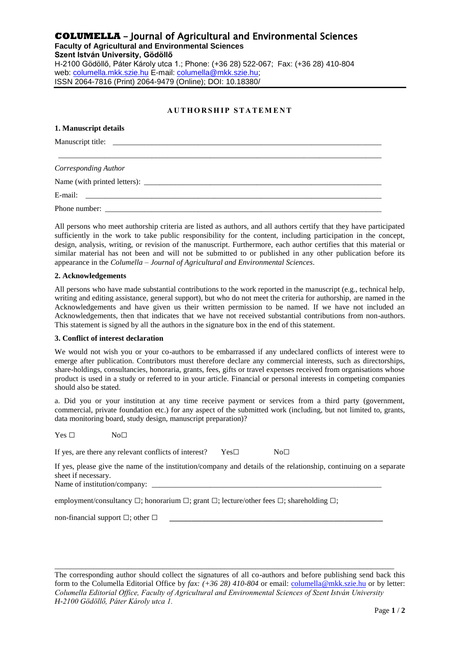## **COLUMELLA** - Journal of Agricultural and Environmental Sciences

**Faculty of Agricultural and Environmental Sciences Szent István University, Gödöllő**  H-2100 Gödöllő, Páter Károly utca 1.; Phone: (+36 28) 522-067; Fax: (+36 28) 410-804 web: columella.mkk.szie.hu E-mail: columella@mkk.szie.hu; ISSN 2064-7816 (Print) 2064-9479 (Online); DOI: 10.18380/

### AUTHORSHIP STATEMENT

| 1. Manuscript details |  |  |
|-----------------------|--|--|
|                       |  |  |
|                       |  |  |
| Corresponding Author  |  |  |
|                       |  |  |
|                       |  |  |
|                       |  |  |

All persons who meet authorship criteria are listed as authors, and all authors certify that they have participated sufficiently in the work to take public responsibility for the content, including participation in the concept, design, analysis, writing, or revision of the manuscript. Furthermore, each author certifies that this material or similar material has not been and will not be submitted to or published in any other publication before its appearance in the *Columella – Journal of Agricultural and Environmental Sciences*.

#### **2. Acknowledgements**

All persons who have made substantial contributions to the work reported in the manuscript (e.g., technical help, writing and editing assistance, general support), but who do not meet the criteria for authorship, are named in the Acknowledgements and have given us their written permission to be named. If we have not included an Acknowledgements, then that indicates that we have not received substantial contributions from non-authors. This statement is signed by all the authors in the signature box in the end of this statement.

#### **3. Conflict of interest declaration**

We would not wish you or your co-authors to be embarrassed if any undeclared conflicts of interest were to emerge after publication. Contributors must therefore declare any commercial interests, such as directorships, share-holdings, consultancies, honoraria, grants, fees, gifts or travel expenses received from organisations whose product is used in a study or referred to in your article. Financial or personal interests in competing companies should also be stated.

a. Did you or your institution at any time receive payment or services from a third party (government, commercial, private foundation etc.) for any aspect of the submitted work (including, but not limited to, grants, data monitoring board, study design, manuscript preparation)?

 $Yes \Box$  No $\Box$ 

If yes, are there any relevant conflicts of interest? Yes□ No□

If yes, please give the name of the institution/company and details of the relationship, continuing on a separate sheet if necessary.

Name of institution/company: \_

employment/consultancy  $\Box$ ; honorarium  $\Box$ ; grant  $\Box$ ; lecture/other fees  $\Box$ ; shareholding  $\Box$ ;

non-financial support  $\square$ ; other  $\square$ 

The corresponding author should collect the signatures of all co-authors and before publishing send back this form to the Columella Editorial Office by *fax: (+36 28) 410-804* or email: columella@mkk.szie.hu or by letter: *Columella Editorial Office, Faculty of Agricultural and Environmental Sciences of Szent István University H-2100 Gödöllő, Páter Károly utca 1.*

\_\_\_\_\_\_\_\_\_\_\_\_\_\_\_\_\_\_\_\_\_\_\_\_\_\_\_\_\_\_\_\_\_\_\_\_\_\_\_\_\_\_\_\_\_\_\_\_\_\_\_\_\_\_\_\_\_\_\_\_\_\_\_\_\_\_\_\_\_\_\_\_\_\_\_\_\_\_\_\_\_\_\_\_\_\_\_\_